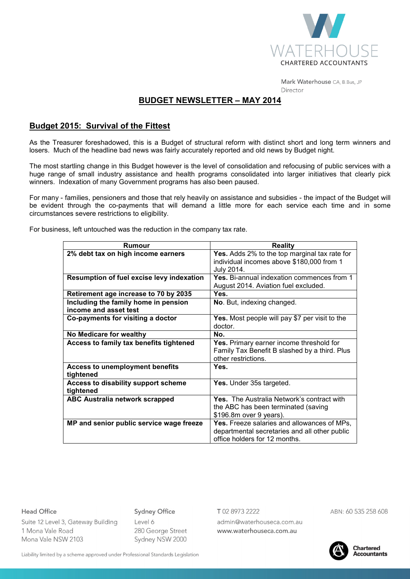

Mark Waterhouse CA, B.Bus, JP Director

# **BUDGET NEWSLETTER – MAY 2014**

# **Budget 2015: Survival of the Fittest**

As the Treasurer foreshadowed, this is a Budget of structural reform with distinct short and long term winners and losers. Much of the headline bad news was fairly accurately reported and old news by Budget night.

The most startling change in this Budget however is the level of consolidation and refocusing of public services with a huge range of small industry assistance and health programs consolidated into larger initiatives that clearly pick winners. Indexation of many Government programs has also been paused.

For many - families, pensioners and those that rely heavily on assistance and subsidies - the impact of the Budget will be evident through the co-payments that will demand a little more for each service each time and in some circumstances severe restrictions to eligibility.

| Rumour                                    | <b>Reality</b>                                    |
|-------------------------------------------|---------------------------------------------------|
| 2% debt tax on high income earners        | Yes. Adds 2% to the top marginal tax rate for     |
|                                           | individual incomes above \$180,000 from 1         |
|                                           | July 2014.                                        |
| Resumption of fuel excise levy indexation | Yes. Bi-annual indexation commences from 1        |
|                                           | August 2014. Aviation fuel excluded.              |
| Retirement age increase to 70 by 2035     | Yes.                                              |
| Including the family home in pension      | No. But, indexing changed.                        |
| income and asset test                     |                                                   |
| Co-payments for visiting a doctor         | Yes. Most people will pay \$7 per visit to the    |
|                                           | doctor.                                           |
| No Medicare for wealthy                   | No.                                               |
| Access to family tax benefits tightened   | Yes. Primary earner income threshold for          |
|                                           | Family Tax Benefit B slashed by a third. Plus     |
|                                           | other restrictions.                               |
| <b>Access to unemployment benefits</b>    | Yes.                                              |
| tightened                                 |                                                   |
| Access to disability support scheme       | Yes. Under 35s targeted.                          |
| tightened                                 |                                                   |
| <b>ABC Australia network scrapped</b>     | <b>Yes.</b> The Australia Network's contract with |
|                                           | the ABC has been terminated (saving               |
|                                           | \$196.8m over 9 years).                           |
| MP and senior public service wage freeze  | Yes. Freeze salaries and allowances of MPs,       |
|                                           | departmental secretaries and all other public     |
|                                           | office holders for 12 months.                     |

For business, left untouched was the reduction in the company tax rate.

#### **Head Office**

**Sydney Office** 

Suite 12 Level 3, Gateway Building 1 Mona Vale Road Mona Vale NSW 2103

# Level 6 280 George Street Sydney NSW 2000

T 02 8973 2222

admin@waterhouseca.com.au www.waterhouseca.com.au

ABN: 60 535 258 608



Liability limited by a scheme approved under Professional Standards Legislation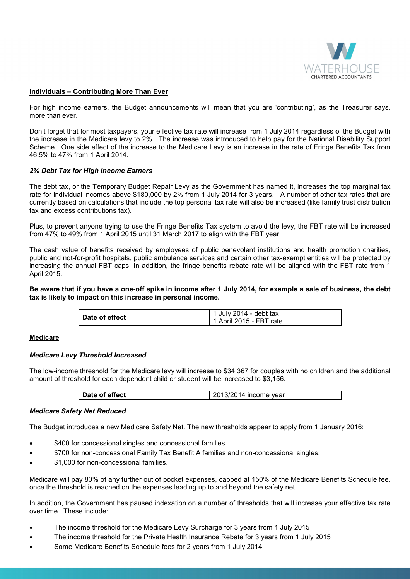

## **Individuals – Contributing More Than Ever**

For high income earners, the Budget announcements will mean that you are 'contributing', as the Treasurer says, more than ever.

Don't forget that for most taxpayers, your effective tax rate will increase from 1 July 2014 regardless of the Budget with the increase in the Medicare levy to 2%. The increase was introduced to help pay for the National Disability Support Scheme. One side effect of the increase to the Medicare Levy is an increase in the rate of Fringe Benefits Tax from 46.5% to 47% from 1 April 2014.

# *2% Debt Tax for High Income Earners*

The debt tax, or the Temporary Budget Repair Levy as the Government has named it, increases the top marginal tax rate for individual incomes above \$180,000 by 2% from 1 July 2014 for 3 years. A number of other tax rates that are currently based on calculations that include the top personal tax rate will also be increased (like family trust distribution tax and excess contributions tax).

Plus, to prevent anyone trying to use the Fringe Benefits Tax system to avoid the levy, the FBT rate will be increased from 47% to 49% from 1 April 2015 until 31 March 2017 to align with the FBT year.

The cash value of benefits received by employees of public benevolent institutions and health promotion charities, public and not-for-profit hospitals, public ambulance services and certain other tax-exempt entities will be protected by increasing the annual FBT caps. In addition, the fringe benefits rebate rate will be aligned with the FBT rate from 1 April 2015.

**Be aware that if you have a one-off spike in income after 1 July 2014, for example a sale of business, the debt tax is likely to impact on this increase in personal income.** 

| 1 July 2014 - debt tax<br>Date of effect<br>  1 April 2015 - FBT rate |  |
|-----------------------------------------------------------------------|--|
|-----------------------------------------------------------------------|--|

## **Medicare**

## *Medicare Levy Threshold Increased*

The low-income threshold for the Medicare levy will increase to \$34,367 for couples with no children and the additional amount of threshold for each dependent child or student will be increased to \$3,156.

## *Medicare Safety Net Reduced*

The Budget introduces a new Medicare Safety Net. The new thresholds appear to apply from 1 January 2016:

- \$400 for concessional singles and concessional families.
- \$700 for non-concessional Family Tax Benefit A families and non-concessional singles.
- \$1,000 for non-concessional families.

Medicare will pay 80% of any further out of pocket expenses, capped at 150% of the Medicare Benefits Schedule fee, once the threshold is reached on the expenses leading up to and beyond the safety net.

In addition, the Government has paused indexation on a number of thresholds that will increase your effective tax rate over time. These include:

- The income threshold for the Medicare Levy Surcharge for 3 years from 1 July 2015
- The income threshold for the Private Health Insurance Rebate for 3 years from 1 July 2015
- Some Medicare Benefits Schedule fees for 2 years from 1 July 2014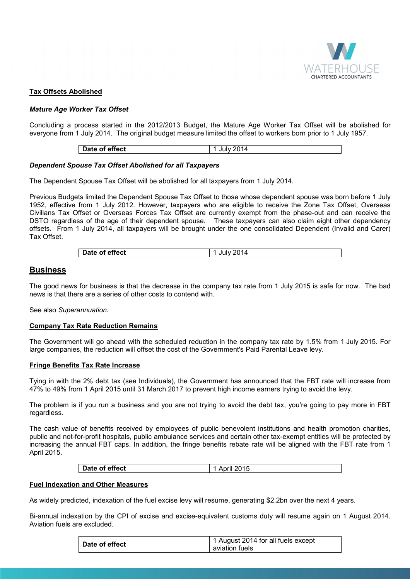

# **Tax Offsets Abolished**

# *Mature Age Worker Tax Offset*

Concluding a process started in the 2012/2013 Budget, the Mature Age Worker Tax Offset will be abolished for everyone from 1 July 2014. The original budget measure limited the offset to workers born prior to 1 July 1957.

| Date of effect | 1 July 2014 |
|----------------|-------------|

## *Dependent Spouse Tax Offset Abolished for all Taxpayers*

The Dependent Spouse Tax Offset will be abolished for all taxpayers from 1 July 2014.

Previous Budgets limited the Dependent Spouse Tax Offset to those whose dependent spouse was born before 1 July 1952, effective from 1 July 2012. However, taxpayers who are eligible to receive the Zone Tax Offset, Overseas Civilians Tax Offset or Overseas Forces Tax Offset are currently exempt from the phase-out and can receive the DSTO regardless of the age of their dependent spouse. These taxpayers can also claim eight other dependency offsets. From 1 July 2014, all taxpayers will be brought under the one consolidated Dependent (Invalid and Carer) Tax Offset.

| Date of effect<br>lulv |
|------------------------|
|------------------------|

# **Business**

The good news for business is that the decrease in the company tax rate from 1 July 2015 is safe for now. The bad news is that there are a series of other costs to contend with.

See also *Superannuation.* 

## **Company Tax Rate Reduction Remains**

The Government will go ahead with the scheduled reduction in the company tax rate by 1.5% from 1 July 2015. For large companies, the reduction will offset the cost of the Government's Paid Parental Leave levy.

## **Fringe Benefits Tax Rate Increase**

Tying in with the 2% debt tax (see Individuals), the Government has announced that the FBT rate will increase from 47% to 49% from 1 April 2015 until 31 March 2017 to prevent high income earners trying to avoid the levy.

The problem is if you run a business and you are not trying to avoid the debt tax, you're going to pay more in FBT regardless.

The cash value of benefits received by employees of public benevolent institutions and health promotion charities, public and not-for-profit hospitals, public ambulance services and certain other tax-exempt entities will be protected by increasing the annual FBT caps. In addition, the fringe benefits rebate rate will be aligned with the FBT rate from 1 April 2015.

| Date of effect | April 2015 |
|----------------|------------|

## **Fuel Indexation and Other Measures**

As widely predicted, indexation of the fuel excise levy will resume, generating \$2.2bn over the next 4 years.

Bi-annual indexation by the CPI of excise and excise-equivalent customs duty will resume again on 1 August 2014. Aviation fuels are excluded.

| Date of effect | 1 August 2014 for all fuels except |
|----------------|------------------------------------|
|                | aviation fuels                     |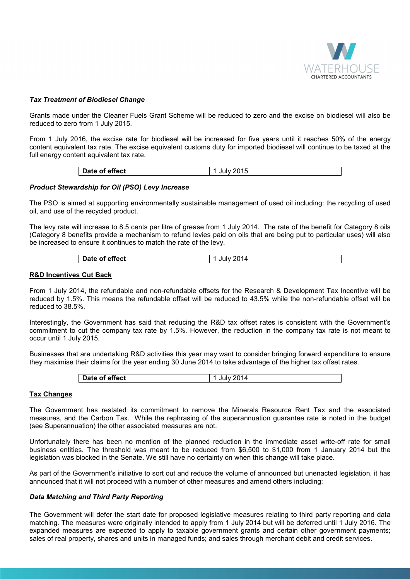

## *Tax Treatment of Biodiesel Change*

Grants made under the Cleaner Fuels Grant Scheme will be reduced to zero and the excise on biodiesel will also be reduced to zero from 1 July 2015.

From 1 July 2016, the excise rate for biodiesel will be increased for five years until it reaches 50% of the energy content equivalent tax rate. The excise equivalent customs duty for imported biodiesel will continue to be taxed at the full energy content equivalent tax rate.

| Date of effect | July 2015 |
|----------------|-----------|
|                |           |

# *Product Stewardship for Oil (PSO) Levy Increase*

The PSO is aimed at supporting environmentally sustainable management of used oil including: the recycling of used oil, and use of the recycled product.

The levy rate will increase to 8.5 cents per litre of grease from 1 July 2014. The rate of the benefit for Category 8 oils (Category 8 benefits provide a mechanism to refund levies paid on oils that are being put to particular uses) will also be increased to ensure it continues to match the rate of the levy.

| Date of effect |
|----------------|
|----------------|

## **R&D Incentives Cut Back**

From 1 July 2014, the refundable and non-refundable offsets for the Research & Development Tax Incentive will be reduced by 1.5%. This means the refundable offset will be reduced to 43.5% while the non-refundable offset will be reduced to 38.5%.

Interestingly, the Government has said that reducing the R&D tax offset rates is consistent with the Government's commitment to cut the company tax rate by 1.5%. However, the reduction in the company tax rate is not meant to occur until 1 July 2015.

Businesses that are undertaking R&D activities this year may want to consider bringing forward expenditure to ensure they maximise their claims for the year ending 30 June 2014 to take advantage of the higher tax offset rates.

| Date of effect |
|----------------|
|----------------|

# **Tax Changes**

The Government has restated its commitment to remove the Minerals Resource Rent Tax and the associated measures, and the Carbon Tax. While the rephrasing of the superannuation guarantee rate is noted in the budget (see Superannuation) the other associated measures are not.

Unfortunately there has been no mention of the planned reduction in the immediate asset write-off rate for small business entities. The threshold was meant to be reduced from \$6,500 to \$1,000 from 1 January 2014 but the legislation was blocked in the Senate. We still have no certainty on when this change will take place.

As part of the Government's initiative to sort out and reduce the volume of announced but unenacted legislation, it has announced that it will not proceed with a number of other measures and amend others including:

## *Data Matching and Third Party Reporting*

The Government will defer the start date for proposed legislative measures relating to third party reporting and data matching. The measures were originally intended to apply from 1 July 2014 but will be deferred until 1 July 2016. The expanded measures are expected to apply to taxable government grants and certain other government payments; sales of real property, shares and units in managed funds; and sales through merchant debit and credit services.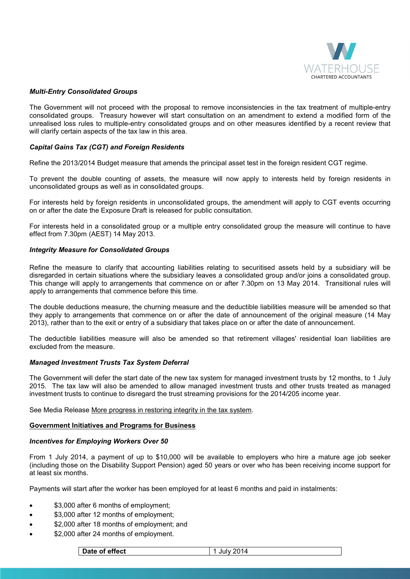

## *Multi-Entry Consolidated Groups*

The Government will not proceed with the proposal to remove inconsistencies in the tax treatment of multiple-entry consolidated groups. Treasury however will start consultation on an amendment to extend a modified form of the unrealised loss rules to multiple-entry consolidated groups and on other measures identified by a recent review that will clarify certain aspects of the tax law in this area.

## *Capital Gains Tax (CGT) and Foreign Residents*

Refine the 2013/2014 Budget measure that amends the principal asset test in the foreign resident CGT regime.

To prevent the double counting of assets, the measure will now apply to interests held by foreign residents in unconsolidated groups as well as in consolidated groups.

For interests held by foreign residents in unconsolidated groups, the amendment will apply to CGT events occurring on or after the date the Exposure Draft is released for public consultation.

For interests held in a consolidated group or a multiple entry consolidated group the measure will continue to have effect from 7.30pm (AEST) 14 May 2013.

#### *Integrity Measure for Consolidated Groups*

Refine the measure to clarify that accounting liabilities relating to securitised assets held by a subsidiary will be disregarded in certain situations where the subsidiary leaves a consolidated group and/or joins a consolidated group. This change will apply to arrangements that commence on or after 7.30pm on 13 May 2014. Transitional rules will apply to arrangements that commence before this time.

The double deductions measure, the churning measure and the deductible liabilities measure will be amended so that they apply to arrangements that commence on or after the date of announcement of the original measure (14 May 2013), rather than to the exit or entry of a subsidiary that takes place on or after the date of announcement.

The deductible liabilities measure will also be amended so that retirement villages' residential loan liabilities are excluded from the measure.

#### *Managed Investment Trusts Tax System Deferral*

The Government will defer the start date of the new tax system for managed investment trusts by 12 months, to 1 July 2015. The tax law will also be amended to allow managed investment trusts and other trusts treated as managed investment trusts to continue to disregard the trust streaming provisions for the 2014/205 income year.

See Media Release More progress in restoring integrity in the tax system.

#### **Government Initiatives and Programs for Business**

#### *Incentives for Employing Workers Over 50*

From 1 July 2014, a payment of up to \$10,000 will be available to employers who hire a mature age job seeker (including those on the Disability Support Pension) aged 50 years or over who has been receiving income support for at least six months.

Payments will start after the worker has been employed for at least 6 months and paid in instalments:

- \$3,000 after 6 months of employment;
- \$3,000 after 12 months of employment;
- \$2,000 after 18 months of employment; and
- \$2,000 after 24 months of employment.

| Date of effect | July 2014 |
|----------------|-----------|
|----------------|-----------|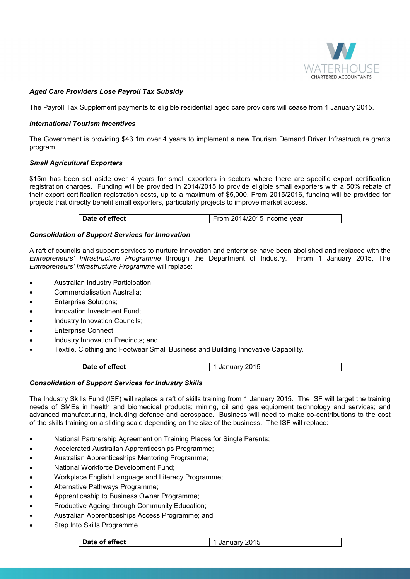

# *Aged Care Providers Lose Payroll Tax Subsidy*

The Payroll Tax Supplement payments to eligible residential aged care providers will cease from 1 January 2015.

## *International Tourism Incentives*

The Government is providing \$43.1m over 4 years to implement a new Tourism Demand Driver Infrastructure grants program.

# *Small Agricultural Exporters*

\$15m has been set aside over 4 years for small exporters in sectors where there are specific export certification registration charges. Funding will be provided in 2014/2015 to provide eligible small exporters with a 50% rebate of their export certification registration costs, up to a maximum of \$5,000. From 2015/2016, funding will be provided for projects that directly benefit small exporters, particularly projects to improve market access.

# *Consolidation of Support Services for Innovation*

A raft of councils and support services to nurture innovation and enterprise have been abolished and replaced with the *Entrepreneurs' Infrastructure Programme* through the Department of Industry. From 1 January 2015, The *Entrepreneurs' Infrastructure Programme* will replace:

- Australian Industry Participation;
- Commercialisation Australia;
- Enterprise Solutions;
- Innovation Investment Fund;
- Industry Innovation Councils;
- Enterprise Connect;
- Industry Innovation Precincts; and
- Textile, Clothing and Footwear Small Business and Building Innovative Capability.

| Date of effect | <sup>'</sup> Januarv 2015 |
|----------------|---------------------------|

## *Consolidation of Support Services for Industry Skills*

The Industry Skills Fund (ISF) will replace a raft of skills training from 1 January 2015. The ISF will target the training needs of SMEs in health and biomedical products; mining, oil and gas equipment technology and services; and advanced manufacturing, including defence and aerospace. Business will need to make co-contributions to the cost of the skills training on a sliding scale depending on the size of the business. The ISF will replace:

- National Partnership Agreement on Training Places for Single Parents;
- Accelerated Australian Apprenticeships Programme;
- Australian Apprenticeships Mentoring Programme;
- National Workforce Development Fund;
- Workplace English Language and Literacy Programme;
- Alternative Pathways Programme;
- Apprenticeship to Business Owner Programme;
- Productive Ageing through Community Education;
- Australian Apprenticeships Access Programme; and
- Step Into Skills Programme.

**Date of effect** 1 January 2015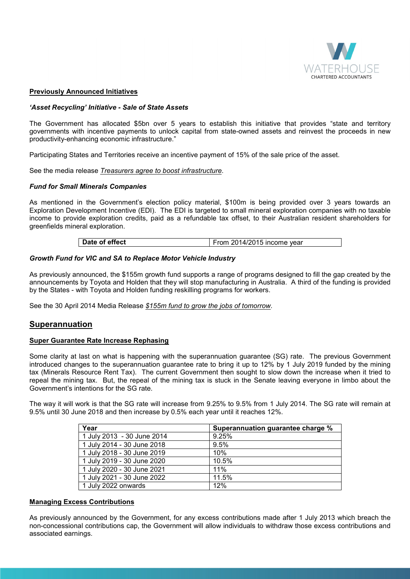

## **Previously Announced Initiatives**

#### *'Asset Recycling' Initiative - Sale of State Assets*

The Government has allocated \$5bn over 5 years to establish this initiative that provides "state and territory governments with incentive payments to unlock capital from state-owned assets and reinvest the proceeds in new productivity-enhancing economic infrastructure."

Participating States and Territories receive an incentive payment of 15% of the sale price of the asset.

See the media release *Treasurers agree to boost infrastructure*.

#### *Fund for Small Minerals Companies*

As mentioned in the Government's election policy material, \$100m is being provided over 3 years towards an Exploration Development Incentive (EDI). The EDI is targeted to small mineral exploration companies with no taxable income to provide exploration credits, paid as a refundable tax offset, to their Australian resident shareholders for greenfields mineral exploration.

#### *Growth Fund for VIC and SA to Replace Motor Vehicle Industry*

As previously announced, the \$155m growth fund supports a range of programs designed to fill the gap created by the announcements by Toyota and Holden that they will stop manufacturing in Australia. A third of the funding is provided by the States - with Toyota and Holden funding reskilling programs for workers.

See the 30 April 2014 Media Release *\$155m fund to grow the jobs of tomorrow.* 

# **Superannuation**

## **Super Guarantee Rate Increase Rephasing**

Some clarity at last on what is happening with the superannuation guarantee (SG) rate. The previous Government introduced changes to the superannuation guarantee rate to bring it up to 12% by 1 July 2019 funded by the mining tax (Minerals Resource Rent Tax). The current Government then sought to slow down the increase when it tried to repeal the mining tax. But, the repeal of the mining tax is stuck in the Senate leaving everyone in limbo about the Government's intentions for the SG rate.

The way it will work is that the SG rate will increase from 9.25% to 9.5% from 1 July 2014. The SG rate will remain at 9.5% until 30 June 2018 and then increase by 0.5% each year until it reaches 12%.

| Year                       | Superannuation guarantee charge % |
|----------------------------|-----------------------------------|
| 1 July 2013 - 30 June 2014 | 9.25%                             |
| 1 July 2014 - 30 June 2018 | 9.5%                              |
| 1 July 2018 - 30 June 2019 | 10%                               |
| 1 July 2019 - 30 June 2020 | 10.5%                             |
| 1 July 2020 - 30 June 2021 | 11%                               |
| 1 July 2021 - 30 June 2022 | 11.5%                             |
| 1 July 2022 onwards        | 12%                               |

#### **Managing Excess Contributions**

As previously announced by the Government, for any excess contributions made after 1 July 2013 which breach the non-concessional contributions cap, the Government will allow individuals to withdraw those excess contributions and associated earnings.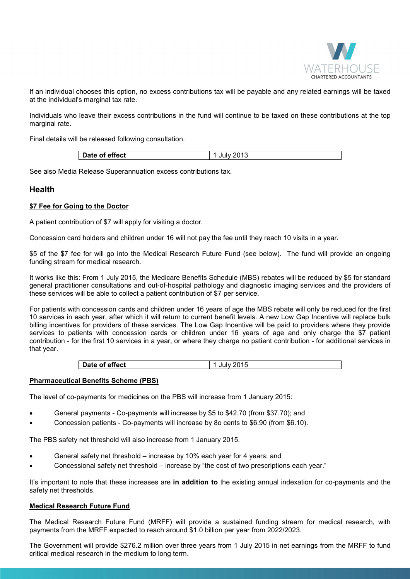

If an individual chooses this option, no excess contributions tax will be payable and any related earnings will be taxed at the individual's marginal tax rate.

Individuals who leave their excess contributions in the fund will continue to be taxed on these contributions at the top marginal rate.

Final details will be released following consultation.

| Date of effect | ∍ ∧ת<br>JUP<br>ں ا |
|----------------|--------------------|
|                |                    |

See also Media Release Superannuation excess contributions tax.

# **Health**

# **\$7 Fee for Going to the Doctor**

A patient contribution of \$7 will apply for visiting a doctor.

Concession card holders and children under 16 will not pay the fee until they reach 10 visits in a year.

\$5 of the \$7 fee for will go into the Medical Research Future Fund (see below). The fund will provide an ongoing funding stream for medical research.

It works like this: From 1 July 2015, the Medicare Benefits Schedule (MBS) rebates will be reduced by \$5 for standard general practitioner consultations and out-of-hospital pathology and diagnostic imaging services and the providers of these services will be able to collect a patient contribution of \$7 per service.

For patients with concession cards and children under 16 years of age the MBS rebate will only be reduced for the first 10 services in each year, after which it will return to current benefit levels. A new Low Gap Incentive will replace bulk billing incentives for providers of these services. The Low Gap Incentive will be paid to providers where they provide services to patients with concession cards or children under 16 years of age and only charge the \$7 patient contribution - for the first 10 services in a year, or where they charge no patient contribution - for additional services in that year.

| Date of effect | 701<br>Julv<br>נות נוב |
|----------------|------------------------|
|----------------|------------------------|

## **Pharmaceutical Benefits Scheme (PBS)**

The level of co-payments for medicines on the PBS will increase from 1 January 2015:

- General payments Co-payments will increase by \$5 to \$42.70 (from \$37.70); and
- Concession patients Co-payments will increase by 8o cents to \$6.90 (from \$6.10).

The PBS safety net threshold will also increase from 1 January 2015.

- General safety net threshold increase by 10% each year for 4 years; and
- Concessional safety net threshold increase by "the cost of two prescriptions each year."

It's important to note that these increases are **in addition to** the existing annual indexation for co-payments and the safety net thresholds.

# **Medical Research Future Fund**

The Medical Research Future Fund (MRFF) will provide a sustained funding stream for medical research, with payments from the MRFF expected to reach around \$1.0 billion per year from 2022/2023.

The Government will provide \$276.2 million over three years from 1 July 2015 in net earnings from the MRFF to fund critical medical research in the medium to long term.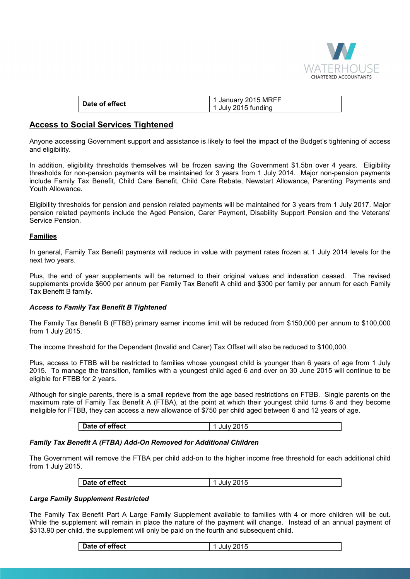

| Date of effect | 1 January 2015 MRFF |
|----------------|---------------------|
|                | 1 July 2015 funding |

# **Access to Social Services Tightened**

Anyone accessing Government support and assistance is likely to feel the impact of the Budget's tightening of access and eligibility.

In addition, eligibility thresholds themselves will be frozen saving the Government \$1.5bn over 4 years. Eligibility thresholds for non-pension payments will be maintained for 3 years from 1 July 2014. Major non-pension payments include Family Tax Benefit, Child Care Benefit, Child Care Rebate, Newstart Allowance, Parenting Payments and Youth Allowance.

Eligibility thresholds for pension and pension related payments will be maintained for 3 years from 1 July 2017. Major pension related payments include the Aged Pension, Carer Payment, Disability Support Pension and the Veterans' Service Pension.

# **Families**

In general, Family Tax Benefit payments will reduce in value with payment rates frozen at 1 July 2014 levels for the next two years.

Plus, the end of year supplements will be returned to their original values and indexation ceased. The revised supplements provide \$600 per annum per Family Tax Benefit A child and \$300 per family per annum for each Family Tax Benefit B family.

# *Access to Family Tax Benefit B Tightened*

The Family Tax Benefit B (FTBB) primary earner income limit will be reduced from \$150,000 per annum to \$100,000 from 1 July 2015.

The income threshold for the Dependent (Invalid and Carer) Tax Offset will also be reduced to \$100,000.

Plus, access to FTBB will be restricted to families whose youngest child is younger than 6 years of age from 1 July 2015. To manage the transition, families with a youngest child aged 6 and over on 30 June 2015 will continue to be eligible for FTBB for 2 years.

Although for single parents, there is a small reprieve from the age based restrictions on FTBB. Single parents on the maximum rate of Family Tax Benefit A (FTBA), at the point at which their youngest child turns 6 and they become ineligible for FTBB, they can access a new allowance of \$750 per child aged between 6 and 12 years of age.

| Date of effect<br>ንበ15<br>.<br>ี∪<br>. . |
|------------------------------------------|
|------------------------------------------|

# *Family Tax Benefit A (FTBA) Add-On Removed for Additional Children*

The Government will remove the FTBA per child add-on to the higher income free threshold for each additional child from 1 July 2015.

| Date of effect<br>'015<br>ាស |
|------------------------------|
|------------------------------|

# *Large Family Supplement Restricted*

The Family Tax Benefit Part A Large Family Supplement available to families with 4 or more children will be cut. While the supplement will remain in place the nature of the payment will change. Instead of an annual payment of \$313.90 per child, the supplement will only be paid on the fourth and subsequent child.

| Date of effect | 1 July 2015 |
|----------------|-------------|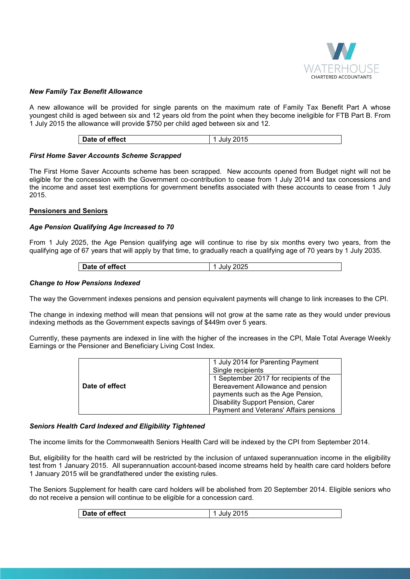

## *New Family Tax Benefit Allowance*

A new allowance will be provided for single parents on the maximum rate of Family Tax Benefit Part A whose youngest child is aged between six and 12 years old from the point when they become ineligible for FTB Part B. From 1 July 2015 the allowance will provide \$750 per child aged between six and 12.

| effect<br>Date of |
|-------------------|
|-------------------|

## *First Home Saver Accounts Scheme Scrapped*

The First Home Saver Accounts scheme has been scrapped. New accounts opened from Budget night will not be eligible for the concession with the Government co-contribution to cease from 1 July 2014 and tax concessions and the income and asset test exemptions for government benefits associated with these accounts to cease from 1 July 2015.

#### **Pensioners and Seniors**

#### *Age Pension Qualifying Age Increased to 70*

From 1 July 2025, the Age Pension qualifying age will continue to rise by six months every two years, from the qualifying age of 67 years that will apply by that time, to gradually reach a qualifying age of 70 years by 1 July 2035.

| Date of effect | July 2025 |
|----------------|-----------|
|----------------|-----------|

#### *Change to How Pensions Indexed*

The way the Government indexes pensions and pension equivalent payments will change to link increases to the CPI.

The change in indexing method will mean that pensions will not grow at the same rate as they would under previous indexing methods as the Government expects savings of \$449m over 5 years.

Currently, these payments are indexed in line with the higher of the increases in the CPI, Male Total Average Weekly Earnings or the Pensioner and Beneficiary Living Cost Index.

|                | 1 July 2014 for Parenting Payment      |
|----------------|----------------------------------------|
|                | Single recipients                      |
|                | 1 September 2017 for recipients of the |
| Date of effect | Bereavement Allowance and pension      |
|                | payments such as the Age Pension,      |
|                | Disability Support Pension, Carer      |
|                | Payment and Veterans' Affairs pensions |

## *Seniors Health Card Indexed and Eligibility Tightened*

The income limits for the Commonwealth Seniors Health Card will be indexed by the CPI from September 2014.

But, eligibility for the health card will be restricted by the inclusion of untaxed superannuation income in the eligibility test from 1 January 2015. All superannuation account-based income streams held by health care card holders before 1 January 2015 will be grandfathered under the existing rules.

The Seniors Supplement for health care card holders will be abolished from 20 September 2014. Eligible seniors who do not receive a pension will continue to be eligible for a concession card.

|--|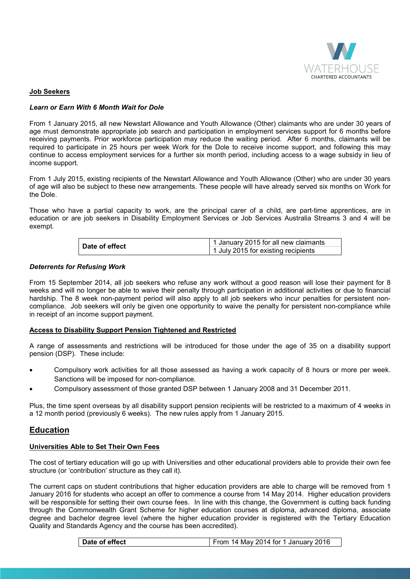

## **Job Seekers**

# *Learn or Earn With 6 Month Wait for Dole*

From 1 January 2015, all new Newstart Allowance and Youth Allowance (Other) claimants who are under 30 years of age must demonstrate appropriate job search and participation in employment services support for 6 months before receiving payments. Prior workforce participation may reduce the waiting period. After 6 months, claimants will be required to participate in 25 hours per week Work for the Dole to receive income support, and following this may continue to access employment services for a further six month period, including access to a wage subsidy in lieu of income support.

From 1 July 2015, existing recipients of the Newstart Allowance and Youth Allowance (Other) who are under 30 years of age will also be subject to these new arrangements. These people will have already served six months on Work for the Dole.

Those who have a partial capacity to work, are the principal carer of a child, are part-time apprentices, are in education or are job seekers in Disability Employment Services or Job Services Australia Streams 3 and 4 will be exempt.

| Date of effect | 1 January 2015 for all new claimants |  |
|----------------|--------------------------------------|--|
|                | 1 July 2015 for existing recipients  |  |

# *Deterrents for Refusing Work*

From 15 September 2014, all job seekers who refuse any work without a good reason will lose their payment for 8 weeks and will no longer be able to waive their penalty through participation in additional activities or due to financial hardship. The 8 week non-payment period will also apply to all job seekers who incur penalties for persistent noncompliance. Job seekers will only be given one opportunity to waive the penalty for persistent non-compliance while in receipt of an income support payment.

## **Access to Disability Support Pension Tightened and Restricted**

A range of assessments and restrictions will be introduced for those under the age of 35 on a disability support pension (DSP). These include:

- Compulsory work activities for all those assessed as having a work capacity of 8 hours or more per week. Sanctions will be imposed for non-compliance.
- Compulsory assessment of those granted DSP between 1 January 2008 and 31 December 2011.

Plus, the time spent overseas by all disability support pension recipients will be restricted to a maximum of 4 weeks in a 12 month period (previously 6 weeks). The new rules apply from 1 January 2015.

# **Education**

## **Universities Able to Set Their Own Fees**

The cost of tertiary education will go up with Universities and other educational providers able to provide their own fee structure (or 'contribution' structure as they call it).

The current caps on student contributions that higher education providers are able to charge will be removed from 1 January 2016 for students who accept an offer to commence a course from 14 May 2014. Higher education providers will be responsible for setting their own course fees. In line with this change, the Government is cutting back funding through the Commonwealth Grant Scheme for higher education courses at diploma, advanced diploma, associate degree and bachelor degree level (where the higher education provider is registered with the Tertiary Education Quality and Standards Agency and the course has been accredited).

| From 14 May 2014 for 1 January 2016<br>Date of effect |
|-------------------------------------------------------|
|-------------------------------------------------------|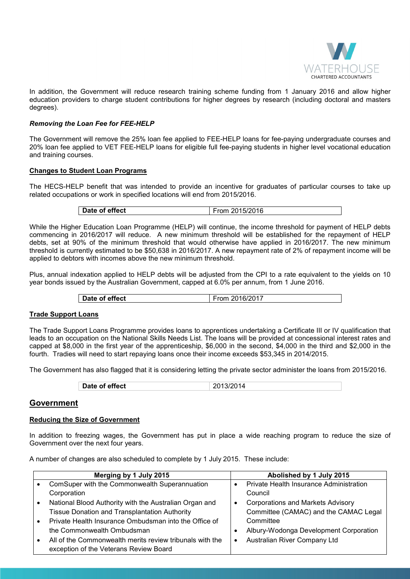

In addition, the Government will reduce research training scheme funding from 1 January 2016 and allow higher education providers to charge student contributions for higher degrees by research (including doctoral and masters degrees).

# *Removing the Loan Fee for FEE-HELP*

The Government will remove the 25% loan fee applied to FEE-HELP loans for fee-paying undergraduate courses and 20% loan fee applied to VET FEE-HELP loans for eligible full fee-paying students in higher level vocational education and training courses.

# **Changes to Student Loan Programs**

The HECS-HELP benefit that was intended to provide an incentive for graduates of particular courses to take up related occupations or work in specified locations will end from 2015/2016.

| Date of effect | From 2015/2016 |
|----------------|----------------|

While the Higher Education Loan Programme (HELP) will continue, the income threshold for payment of HELP debts commencing in 2016/2017 will reduce. A new minimum threshold will be established for the repayment of HELP debts, set at 90% of the minimum threshold that would otherwise have applied in 2016/2017. The new minimum threshold is currently estimated to be \$50,638 in 2016/2017. A new repayment rate of 2% of repayment income will be applied to debtors with incomes above the new minimum threshold.

Plus, annual indexation applied to HELP debts will be adjusted from the CPI to a rate equivalent to the yields on 10 year bonds issued by the Australian Government, capped at 6.0% per annum, from 1 June 2016.

## **Trade Support Loans**

The Trade Support Loans Programme provides loans to apprentices undertaking a Certificate III or IV qualification that leads to an occupation on the National Skills Needs List. The loans will be provided at concessional interest rates and capped at \$8,000 in the first year of the apprenticeship, \$6,000 in the second, \$4,000 in the third and \$2,000 in the fourth. Tradies will need to start repaying loans once their income exceeds \$53,345 in 2014/2015.

The Government has also flagged that it is considering letting the private sector administer the loans from 2015/2016.

| Date of effect<br>2013/2014 |
|-----------------------------|
|-----------------------------|

# **Government**

# **Reducing the Size of Government**

In addition to freezing wages, the Government has put in place a wide reaching program to reduce the size of Government over the next four years.

A number of changes are also scheduled to complete by 1 July 2015. These include:

| Merging by 1 July 2015 |                                                          | Abolished by 1 July 2015                 |  |
|------------------------|----------------------------------------------------------|------------------------------------------|--|
|                        | ComSuper with the Commonwealth Superannuation            | Private Health Insurance Administration  |  |
|                        | Corporation                                              | Council                                  |  |
|                        | National Blood Authority with the Australian Organ and   | <b>Corporations and Markets Advisory</b> |  |
|                        | <b>Tissue Donation and Transplantation Authority</b>     | Committee (CAMAC) and the CAMAC Legal    |  |
|                        | Private Health Insurance Ombudsman into the Office of    | Committee                                |  |
|                        | the Commonwealth Ombudsman                               | Albury-Wodonga Development Corporation   |  |
|                        | All of the Commonwealth merits review tribunals with the | Australian River Company Ltd             |  |
|                        | exception of the Veterans Review Board                   |                                          |  |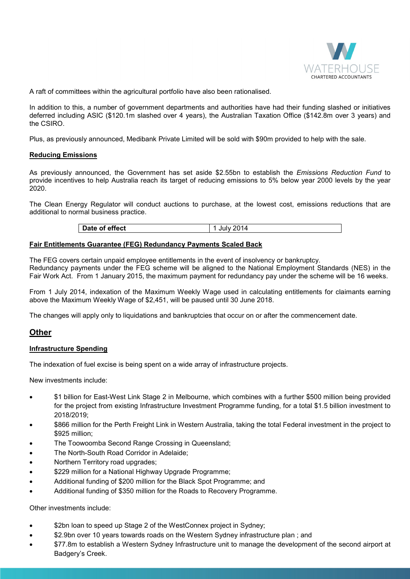

A raft of committees within the agricultural portfolio have also been rationalised.

In addition to this, a number of government departments and authorities have had their funding slashed or initiatives deferred including ASIC (\$120.1m slashed over 4 years), the Australian Taxation Office (\$142.8m over 3 years) and the CSIRO.

Plus, as previously announced, Medibank Private Limited will be sold with \$90m provided to help with the sale.

#### **Reducing Emissions**

As previously announced, the Government has set aside \$2.55bn to establish the *Emissions Reduction Fund* to provide incentives to help Australia reach its target of reducing emissions to 5% below year 2000 levels by the year 2020.

The Clean Energy Regulator will conduct auctions to purchase, at the lowest cost, emissions reductions that are additional to normal business practice.

# **Fair Entitlements Guarantee (FEG) Redundancy Payments Scaled Back**

The FEG covers certain unpaid employee entitlements in the event of insolvency or bankruptcy. Redundancy payments under the FEG scheme will be aligned to the National Employment Standards (NES) in the Fair Work Act. From 1 January 2015, the maximum payment for redundancy pay under the scheme will be 16 weeks.

From 1 July 2014, indexation of the Maximum Weekly Wage used in calculating entitlements for claimants earning above the Maximum Weekly Wage of \$2,451, will be paused until 30 June 2018.

The changes will apply only to liquidations and bankruptcies that occur on or after the commencement date.

# **Other**

## **Infrastructure Spending**

The indexation of fuel excise is being spent on a wide array of infrastructure projects.

New investments include:

- \$1 billion for East-West Link Stage 2 in Melbourne, which combines with a further \$500 million being provided for the project from existing Infrastructure Investment Programme funding, for a total \$1.5 billion investment to 2018/2019;
- \$866 million for the Perth Freight Link in Western Australia, taking the total Federal investment in the project to \$925 million;
- The Toowoomba Second Range Crossing in Queensland;
- The North-South Road Corridor in Adelaide;
- Northern Territory road upgrades;
- \$229 million for a National Highway Upgrade Programme;
- Additional funding of \$200 million for the Black Spot Programme; and
- Additional funding of \$350 million for the Roads to Recovery Programme.

Other investments include:

- \$2bn loan to speed up Stage 2 of the WestConnex project in Sydney;
- \$2.9bn over 10 years towards roads on the Western Sydney infrastructure plan; and
- \$77.8m to establish a Western Sydney Infrastructure unit to manage the development of the second airport at Badgery's Creek.